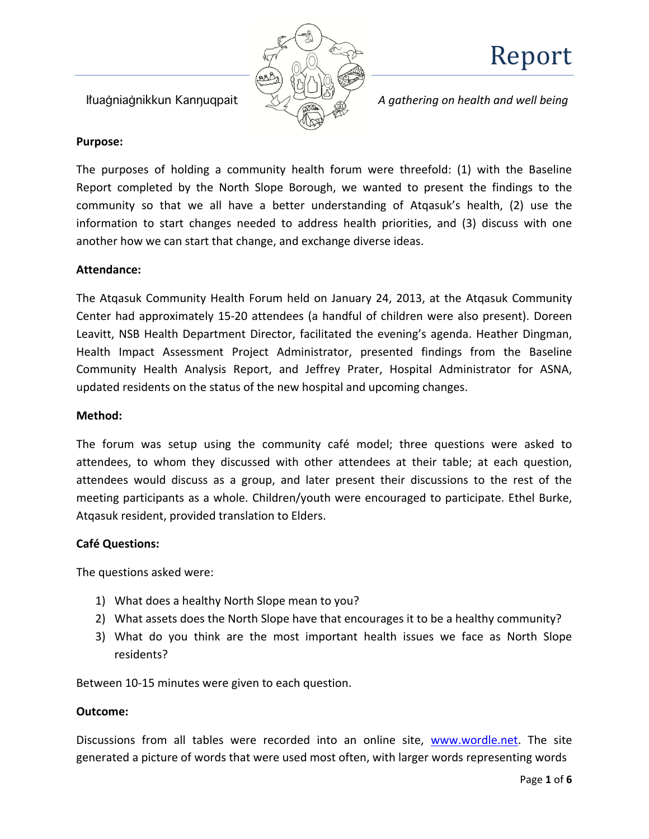

**Ituagniagnikkun Kannuqpait** *A gathering on health and well being* 

#### **Purpose:**

The purposes of holding a community health forum were threefold: (1) with the Baseline Report completed by the North Slope Borough, we wanted to present the findings to the community so that we all have a better understanding of Atqasuk's health, (2) use the information to start changes needed to address health priorities, and (3) discuss with one another how we can start that change, and exchange diverse ideas.

#### **Attendance:**

The Atqasuk Community Health Forum held on January 24, 2013, at the Atqasuk Community Center had approximately 15-20 attendees (a handful of children were also present). Doreen Leavitt, NSB Health Department Director, facilitated the evening's agenda. Heather Dingman, Health Impact Assessment Project Administrator, presented findings from the Baseline Community Health Analysis Report, and Jeffrey Prater, Hospital Administrator for ASNA, updated residents on the status of the new hospital and upcoming changes.

#### **Method:**

The forum was setup using the community café model; three questions were asked to attendees, to whom they discussed with other attendees at their table; at each question, attendees would discuss as a group, and later present their discussions to the rest of the meeting participants as a whole. Children/youth were encouraged to participate. Ethel Burke, Atqasuk resident, provided translation to Elders.

#### **Café Questions:**

The questions asked were:

- 1) What does a healthy North Slope mean to you?
- 2) What assets does the North Slope have that encourages it to be a healthy community?
- 3) What do you think are the most important health issues we face as North Slope residents?

Between 10-15 minutes were given to each question.

### **Outcome:**

Discussions from all tables were recorded into an online site, [www.wordle.net.](http://www.wordle.net/) The site generated a picture of words that were used most often, with larger words representing words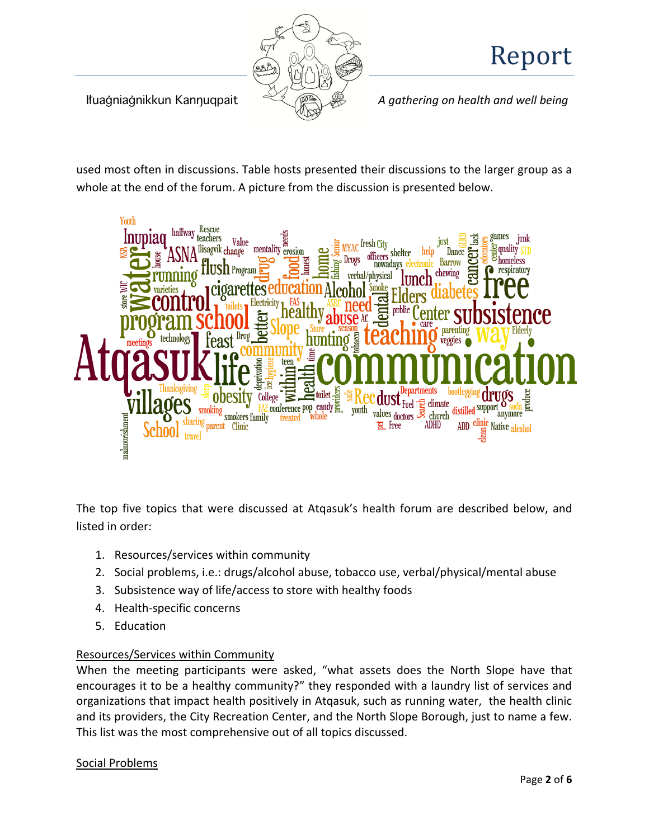

Ijuabniabnikkun Kanfuqpait *A gathering on health and well being*

used most often in discussions. Table hosts presented their discussions to the larger group as a whole at the end of the forum. A picture from the discussion is presented below.



The top five topics that were discussed at Atqasuk's health forum are described below, and listed in order:

- 1. Resources/services within community
- 2. Social problems, i.e.: drugs/alcohol abuse, tobacco use, verbal/physical/mental abuse
- 3. Subsistence way of life/access to store with healthy foods
- 4. Health-specific concerns
- 5. Education

### Resources/Services within Community

When the meeting participants were asked, "what assets does the North Slope have that encourages it to be a healthy community?" they responded with a laundry list of services and organizations that impact health positively in Atqasuk, such as running water, the health clinic and its providers, the City Recreation Center, and the North Slope Borough, just to name a few. This list was the most comprehensive out of all topics discussed.

#### Social Problems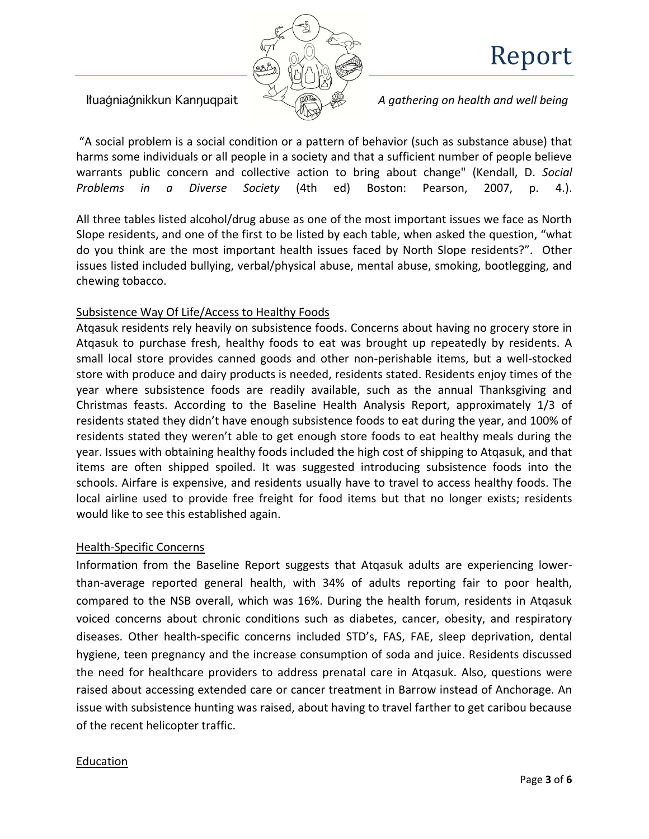

Ituagniagnikkun Kannugpait **A** *A gathering on health and well being* 

"A social problem is a social condition or a pattern of behavior (such as substance abuse) that harms some individuals or all people in a society and that a sufficient number of people believe warrants public concern and collective action to bring about change" (Kendall, D. *Social Problems in a Diverse Society* (4th ed) Boston: Pearson, 2007, p. 4.).

All three tables listed alcohol/drug abuse as one of the most important issues we face as North Slope residents, and one of the first to be listed by each table, when asked the question, "what do you think are the most important health issues faced by North Slope residents?". Other issues listed included bullying, verbal/physical abuse, mental abuse, smoking, bootlegging, and chewing tobacco.

### Subsistence Way Of Life/Access to Healthy Foods

Atqasuk residents rely heavily on subsistence foods. Concerns about having no grocery store in Atqasuk to purchase fresh, healthy foods to eat was brought up repeatedly by residents. A small local store provides canned goods and other non-perishable items, but a well-stocked store with produce and dairy products is needed, residents stated. Residents enjoy times of the year where subsistence foods are readily available, such as the annual Thanksgiving and Christmas feasts. According to the Baseline Health Analysis Report, approximately 1/3 of residents stated they didn't have enough subsistence foods to eat during the year, and 100% of residents stated they weren't able to get enough store foods to eat healthy meals during the year. Issues with obtaining healthy foods included the high cost of shipping to Atqasuk, and that items are often shipped spoiled. It was suggested introducing subsistence foods into the schools. Airfare is expensive, and residents usually have to travel to access healthy foods. The local airline used to provide free freight for food items but that no longer exists; residents would like to see this established again.

### Health-Specific Concerns

Information from the Baseline Report suggests that Atqasuk adults are experiencing lowerthan-average reported general health, with 34% of adults reporting fair to poor health, compared to the NSB overall, which was 16%. During the health forum, residents in Atqasuk voiced concerns about chronic conditions such as diabetes, cancer, obesity, and respiratory diseases. Other health-specific concerns included STD's, FAS, FAE, sleep deprivation, dental hygiene, teen pregnancy and the increase consumption of soda and juice. Residents discussed the need for healthcare providers to address prenatal care in Atqasuk. Also, questions were raised about accessing extended care or cancer treatment in Barrow instead of Anchorage. An issue with subsistence hunting was raised, about having to travel farther to get caribou because of the recent helicopter traffic.

### Education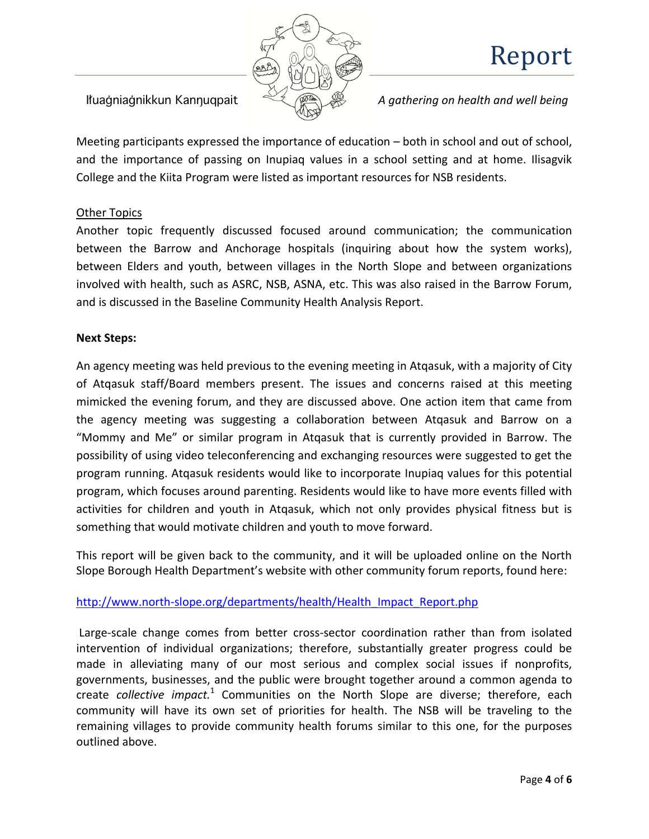

Ituagniagnikkun Kannugpait  $\overbrace{\mathscr{A}}$  *A gathering on health and well being* 

Meeting participants expressed the importance of education – both in school and out of school, and the importance of passing on Inupiaq values in a school setting and at home. Ilisagvik College and the Kiita Program were listed as important resources for NSB residents.

### Other Topics

Another topic frequently discussed focused around communication; the communication between the Barrow and Anchorage hospitals (inquiring about how the system works), between Elders and youth, between villages in the North Slope and between organizations involved with health, such as ASRC, NSB, ASNA, etc. This was also raised in the Barrow Forum, and is discussed in the Baseline Community Health Analysis Report.

### **Next Steps:**

An agency meeting was held previous to the evening meeting in Atqasuk, with a majority of City of Atqasuk staff/Board members present. The issues and concerns raised at this meeting mimicked the evening forum, and they are discussed above. One action item that came from the agency meeting was suggesting a collaboration between Atqasuk and Barrow on a "Mommy and Me" or similar program in Atqasuk that is currently provided in Barrow. The possibility of using video teleconferencing and exchanging resources were suggested to get the program running. Atqasuk residents would like to incorporate Inupiaq values for this potential program, which focuses around parenting. Residents would like to have more events filled with activities for children and youth in Atqasuk, which not only provides physical fitness but is something that would motivate children and youth to move forward.

This report will be given back to the community, and it will be uploaded online on the North Slope Borough Health Department's website with other community forum reports, found here:

### [http://www.north-slope.org/departments/health/Health\\_Impact\\_Report.php](http://www.north-slope.org/departments/health/Health_Impact_Report.php)

Large-scale change comes from better cross-sector coordination rather than from isolated intervention of individual organizations; therefore, substantially greater progress could be made in alleviating many of our most serious and complex social issues if nonprofits, governments, businesses, and the public were brought together around a common agenda to create *collective impact.*<sup>1</sup> Communities on the North Slope are diverse; therefore, each community will have its own set of priorities for health. The NSB will be traveling to the remaining villages to provide community health forums similar to this one, for the purposes outlined above.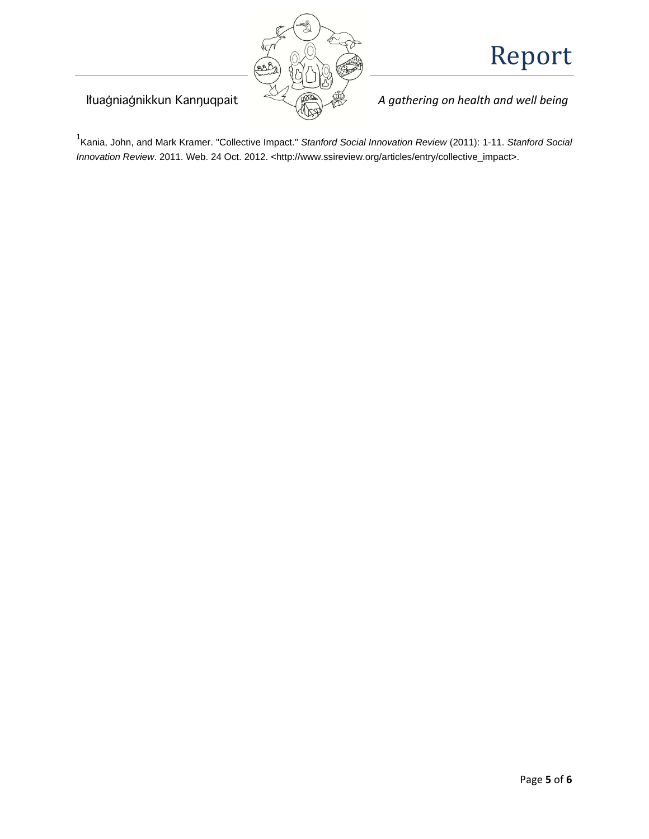

Ituagniagnikkun Kannuqpait  $\overbrace{\mathscr{A}}$  *A gathering on health and well being* 

1 Kania, John, and Mark Kramer. "Collective Impact." *Stanford Social Innovation Review* (2011): 1-11. *Stanford Social Innovation Review*. 2011. Web. 24 Oct. 2012. <http://www.ssireview.org/articles/entry/collective\_impact>.